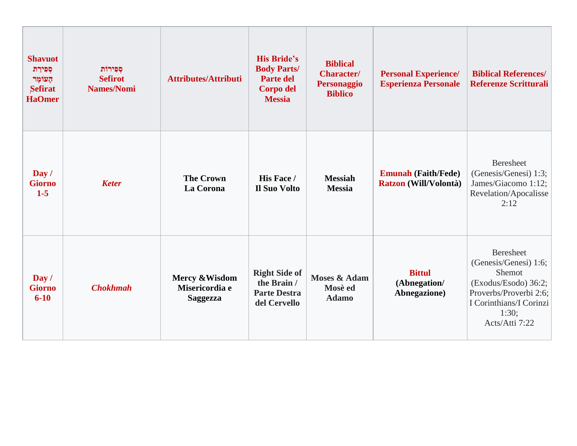| <b>Shavuot</b><br>ספירת<br>הַעוֹמֶר<br>Sefirat<br><b>HaOmer</b> | סִפְירוֹת<br><b>Sefirot</b><br><b>Names/Nomi</b> | <b>Attributes/Attributi</b>                         | <b>His Bride's</b><br><b>Body Parts/</b><br><b>Parte del</b><br>Corpo del<br><b>Messia</b> | <b>Biblical</b><br><b>Character/</b><br><b>Personaggio</b><br><b>Biblico</b> | <b>Personal Experience/</b><br><b>Esperienza Personale</b> | <b>Biblical References/</b><br><b>Referenze Scritturali</b>                                                                                          |
|-----------------------------------------------------------------|--------------------------------------------------|-----------------------------------------------------|--------------------------------------------------------------------------------------------|------------------------------------------------------------------------------|------------------------------------------------------------|------------------------------------------------------------------------------------------------------------------------------------------------------|
| Day /<br><b>Giorno</b><br>$1-5$                                 | <b>Keter</b>                                     | <b>The Crown</b><br>La Corona                       | His Face /<br><b>Il Suo Volto</b>                                                          | <b>Messiah</b><br><b>Messia</b>                                              | <b>Emunah (Faith/Fede)</b><br>Ratzon (Will/Volontà)        | <b>Beresheet</b><br>(Genesis/Genesi) 1:3;<br>James/Giacomo 1:12;<br>Revelation/Apocalisse<br>2:12                                                    |
| Day /<br><b>Giorno</b><br>$6 - 10$                              | <b>Chokhmah</b>                                  | Mercy & Wisdom<br>Misericordia e<br><b>Saggezza</b> | <b>Right Side of</b><br>the Brain /<br><b>Parte Destra</b><br>del Cervello                 | <b>Moses &amp; Adam</b><br>Mosè ed<br><b>Adamo</b>                           | <b>Bittul</b><br>(Abnegation/<br>Abnegazione)              | Beresheet<br>(Genesis/Genesi) 1:6;<br>Shemot<br>(Exodus/Esodo) 36:2;<br>Proverbs/Proverbi 2:6;<br>I Corinthians/I Corinzi<br>1:30;<br>Acts/Atti 7:22 |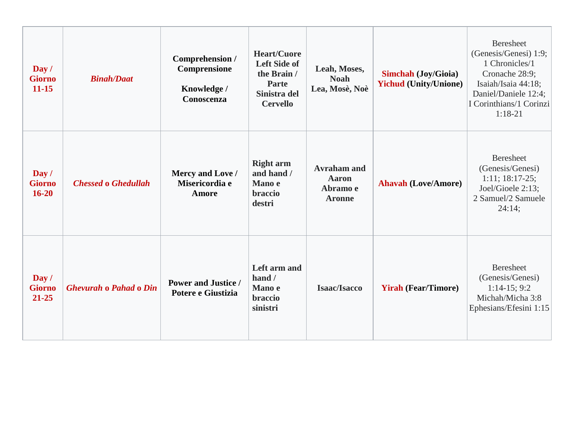| Day /<br><b>Giorno</b><br>$11 - 15$ | <b>Binah/Daat</b>             | Comprehension /<br>Comprensione<br>Knowledge /<br>Conoscenza | <b>Heart/Cuore</b><br><b>Left Side of</b><br>the Brain /<br>Parte<br>Sinistra del<br><b>Cervello</b> | Leah, Moses,<br><b>Noah</b><br>Lea, Mosè, Noè                   | <b>Simchah (Joy/Gioia)</b><br><b>Yichud (Unity/Unione)</b> | <b>Beresheet</b><br>(Genesis/Genesi) 1:9;<br>1 Chronicles/1<br>Cronache 28:9;<br>Isaiah/Isaia 44:18;<br>Daniel/Daniele 12:4;<br>I Corinthians/1 Corinzi<br>$1:18-21$ |
|-------------------------------------|-------------------------------|--------------------------------------------------------------|------------------------------------------------------------------------------------------------------|-----------------------------------------------------------------|------------------------------------------------------------|----------------------------------------------------------------------------------------------------------------------------------------------------------------------|
| Day /<br><b>Giorno</b><br>$16 - 20$ | <b>Chessed o Ghedullah</b>    | Mercy and Love /<br>Misericordia e<br><b>Amore</b>           | <b>Right arm</b><br>and hand /<br>Mano e<br>braccio<br>destri                                        | <b>Avraham and</b><br><b>Aaron</b><br>Abramo e<br><b>Aronne</b> | <b>Ahavah (Love/Amore)</b>                                 | <b>Beresheet</b><br>(Genesis/Genesi)<br>$1:11; 18:17-25;$<br>Joel/Gioele 2:13;<br>2 Samuel/2 Samuele<br>24:14;                                                       |
| Day /<br><b>Giorno</b><br>21-25     | <b>Ghevurah o Pahad o Din</b> | <b>Power and Justice /</b><br>Potere e Giustizia             | Left arm and<br>hand/<br>Mano e<br>braccio<br>sinistri                                               | <b>Isaac/Isacco</b>                                             | <b>Yirah (Fear/Timore)</b>                                 | <b>Beresheet</b><br>(Genesis/Genesi)<br>$1:14-15;9:2$<br>Michah/Micha 3:8<br>Ephesians/Efesini 1:15                                                                  |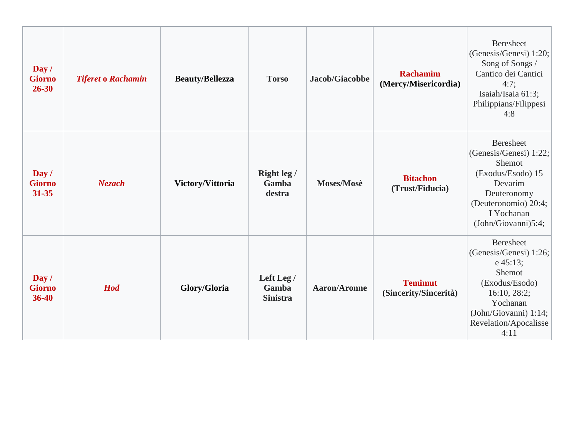| $\bf Day /$<br><b>Giorno</b><br>$26 - 30$ | <b>Tiferet o Rachamin</b> | <b>Beauty/Bellezza</b> | <b>Torso</b>                           | Jacob/Giacobbe      | <b>Rachamim</b><br>(Mercy/Misericordia) | <b>Beresheet</b><br>(Genesis/Genesi) 1:20;<br>Song of Songs /<br>Cantico dei Cantici<br>4:7;<br>Isaiah/Isaia 61:3;<br>Philippians/Filippesi<br>4:8                          |
|-------------------------------------------|---------------------------|------------------------|----------------------------------------|---------------------|-----------------------------------------|-----------------------------------------------------------------------------------------------------------------------------------------------------------------------------|
| Day /<br><b>Giorno</b><br>31-35           | <b>Nezach</b>             | Victory/Vittoria       | Right leg /<br>Gamba<br>destra         | Moses/Mosè          | <b>Bitachon</b><br>(Trust/Fiducia)      | <b>Beresheet</b><br>(Genesis/Genesi) 1:22;<br>Shemot<br>(Exodus/Esodo) 15<br>Devarim<br>Deuteronomy<br>(Deuteronomio) 20:4;<br>I Yochanan<br>(John/Giovanni)5:4;            |
| Day /<br><b>Giorno</b><br>36-40           | <b>Hod</b>                | Glory/Gloria           | Left Leg /<br>Gamba<br><b>Sinistra</b> | <b>Aaron/Aronne</b> | <b>Temimut</b><br>(Sincerity/Sincerità) | <b>Beresheet</b><br>(Genesis/Genesi) 1:26;<br>$e\,45:13;$<br>Shemot<br>(Exodus/Esodo)<br>16:10, 28:2;<br>Yochanan<br>(John/Giovanni) 1:14;<br>Revelation/Apocalisse<br>4:11 |